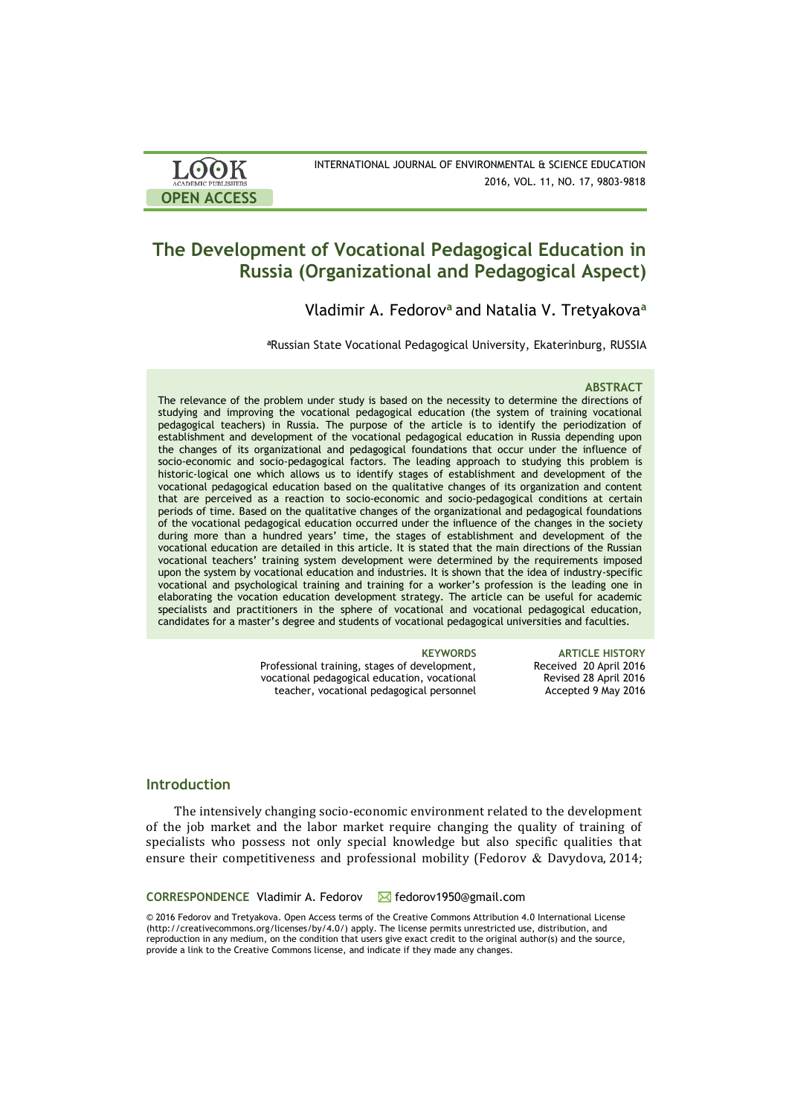| <b>LOOK</b>                | INTERNATIONAL JOURNAL OF ENVIRONMENTAL & SCIENCE EDUCATION |
|----------------------------|------------------------------------------------------------|
| <b>ACADEMIC PUBLISHERS</b> | 2016, VOL. 11, NO. 17, 9803-9818                           |
| <b>OPEN ACCESS</b>         |                                                            |

# **The Development of Vocational Pedagogical Education in Russia (Organizational and Pedagogical Aspect)**

Vladimir A. Fedorov**<sup>a</sup>** and Natalia V. Tretyakova**<sup>a</sup>**

**<sup>a</sup>**Russian State Vocational Pedagogical University, Ekaterinburg, RUSSIA

### **ABSTRACT**

The relevance of the problem under study is based on the necessity to determine the directions of studying and improving the vocational pedagogical education (the system of training vocational pedagogical teachers) in Russia. The purpose of the article is to identify the periodization of establishment and development of the vocational pedagogical education in Russia depending upon the changes of its organizational and pedagogical foundations that occur under the influence of socio-economic and socio-pedagogical factors. The leading approach to studying this problem is historic-logical one which allows us to identify stages of establishment and development of the vocational pedagogical education based on the qualitative changes of its organization and content that are perceived as a reaction to socio-economic and socio-pedagogical conditions at certain periods of time. Based on the qualitative changes of the organizational and pedagogical foundations of the vocational pedagogical education occurred under the influence of the changes in the society during more than a hundred years' time, the stages of establishment and development of the vocational education are detailed in this article. It is stated that the main directions of the Russian vocational teachers' training system development were determined by the requirements imposed upon the system by vocational education and industries. It is shown that the idea of industry-specific vocational and psychological training and training for a worker's profession is the leading one in elaborating the vocation education development strategy. The article can be useful for academic specialists and practitioners in the sphere of vocational and vocational pedagogical education, candidates for a master's degree and students of vocational pedagogical universities and faculties.

Professional training, stages of development, vocational pedagogical education, vocational teacher, vocational pedagogical personnel

**KEYWORDS ARTICLE HISTORY** Received 20 April 2016 Revised 28 April 2016 Accepted 9 May 2016

# **Introduction**

The intensively changing socio-economic environment related to the development of the job market and the labor market require changing the quality of training of specialists who possess not only special knowledge but also specific qualities that ensure their competitiveness and professional mobility (Fedorov & Davydova, 2014;

### CORRESPONDENCE Vladimir A. Fedorov △ fedorov1950@gmail.com

© 2016 Fedorov and Tretyakova. Open Access terms of the Creative Commons Attribution 4.0 International License (http://creativecommons.org/licenses/by/4.0/) apply. The license permits unrestricted use, distribution, and reproduction in any medium, on the condition that users give exact credit to the original author(s) and the source, provide a link to the Creative Commons license, and indicate if they made any changes.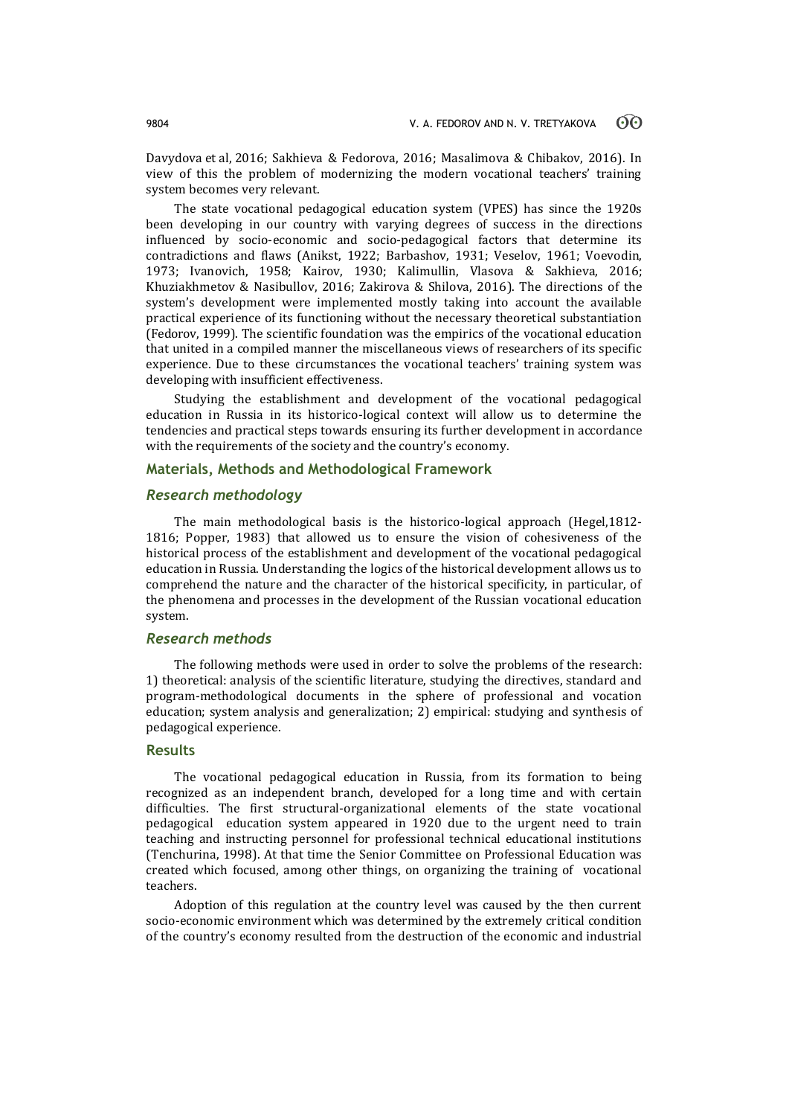Davydova et al, 2016; Sakhieva & Fedorova, 2016; Masalimova & Chibakov, 2016). In view of this the problem of modernizing the modern vocational teachers' training system becomes very relevant.

The state vocational pedagogical education system (VРES) has since the 1920s been developing in our country with varying degrees of success in the directions influenced by socio-economic and socio-pedagogical factors that determine its contradictions and flaws (Anikst, 1922; Barbashov, 1931; Veselov, 1961; Voevodin, 1973; Ivanovich, 1958; Kairov, 1930; Kalimullin, Vlasova & Sakhieva, 2016; Khuziakhmetov & Nasibullov, 2016; Zakirova & Shilova, 2016). The directions of the system's development were implemented mostly taking into account the available practical experience of its functioning without the necessary theoretical substantiation (Fedorov, 1999). The scientific foundation was the empirics of the vocational education that united in a compiled manner the miscellaneous views of researchers of its specific experience. Due to these circumstances the vocational teachers' training system was developing with insufficient effectiveness.

Studying the establishment and development of the vocational pedagogical education in Russia in its historico-logical context will allow us to determine the tendencies and practical steps towards ensuring its further development in accordance with the requirements of the society and the country's economy.

# **Materials, Methods and Methodological Framework**

# *Research methodology*

The main methodological basis is the historico-logical approach (Hegel,1812- 1816; Popper, 1983) that allowed us to ensure the vision of cohesiveness of the historical process of the establishment and development of the vocational pedagogical education in Russia. Understanding the logics of the historical development allows us to comprehend the nature and the character of the historical specificity, in particular, of the phenomena and processes in the development of the Russian vocational education system.

### *Research methods*

The following methods were used in order to solve the problems of the research: 1) theoretical: analysis of the scientific literature, studying the directives, standard and program-methodological documents in the sphere of professional and vocation education; system analysis and generalization; 2) empirical: studying and synthesis of pedagogical experience.

### **Results**

The vocational pedagogical education in Russia, from its formation to being recognized as an independent branch, developed for a long time and with certain difficulties. The first structural-organizational elements of the state vocational pedagogical education system appeared in 1920 due to the urgent need to train teaching and instructing personnel for professional technical educational institutions (Tenchurina, 1998). At that time the Senior Committee on Professional Education was created which focused, among other things, on organizing the training of vocational teachers.

Adoption of this regulation at the country level was caused by the then current socio-economic environment which was determined by the extremely critical condition of the country's economy resulted from the destruction of the economic and industrial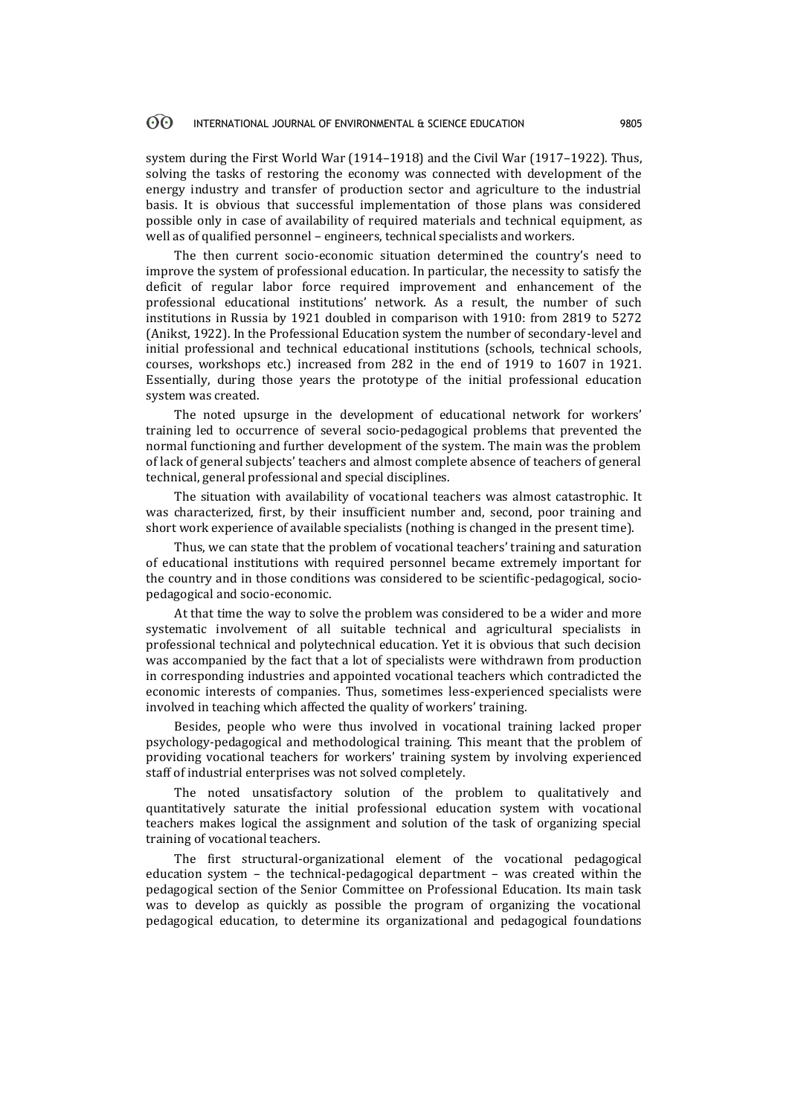system during the First World War (1914–1918) and the Civil War (1917–1922). Thus, solving the tasks of restoring the economy was connected with development of the energy industry and transfer of production sector and agriculture to the industrial basis. It is obvious that successful implementation of those plans was considered possible only in case of availability of required materials and technical equipment, as well as of qualified personnel – engineers, technical specialists and workers.

The then current socio-economic situation determined the country's need to improve the system of professional education. In particular, the necessity to satisfy the deficit of regular labor force required improvement and enhancement of the professional educational institutions' network. As a result, the number of such institutions in Russia by 1921 doubled in comparison with 1910: from 2819 to 5272 (Anikst, 1922). In the Professional Education system the number of secondary-level and initial professional and technical educational institutions (schools, technical schools, courses, workshops etc.) increased from 282 in the end of 1919 to 1607 in 1921. Essentially, during those years the prototype of the initial professional education system was created.

The noted upsurge in the development of educational network for workers' training led to occurrence of several socio-pedagogical problems that prevented the normal functioning and further development of the system. The main was the problem of lack of general subjects' teachers and almost complete absence of teachers of general technical, general professional and special disciplines.

The situation with availability of vocational teachers was almost catastrophic. It was characterized, first, by their insufficient number and, second, poor training and short work experience of available specialists (nothing is changed in the present time).

Thus, we can state that the problem of vocational teachers' training and saturation of educational institutions with required personnel became extremely important for the country and in those conditions was considered to be scientific-pedagogical, sociopedagogical and socio-economic.

At that time the way to solve the problem was considered to be a wider and more systematic involvement of all suitable technical and agricultural specialists in professional technical and polytechnical education. Yet it is obvious that such decision was accompanied by the fact that a lot of specialists were withdrawn from production in corresponding industries and appointed vocational teachers which contradicted the economic interests of companies. Thus, sometimes less-experienced specialists were involved in teaching which affected the quality of workers' training.

Besides, people who were thus involved in vocational training lacked proper psychology-pedagogical and methodological training. This meant that the problem of providing vocational teachers for workers' training system by involving experienced staff of industrial enterprises was not solved completely.

The noted unsatisfactory solution of the problem to qualitatively and quantitatively saturate the initial professional education system with vocational teachers makes logical the assignment and solution of the task of organizing special training of vocational teachers.

The first structural-organizational element of the vocational pedagogical education system – the technical-pedagogical department – was created within the pedagogical section of the Senior Committee on Professional Education. Its main task was to develop as quickly as possible the program of organizing the vocational pedagogical education, to determine its organizational and pedagogical foundations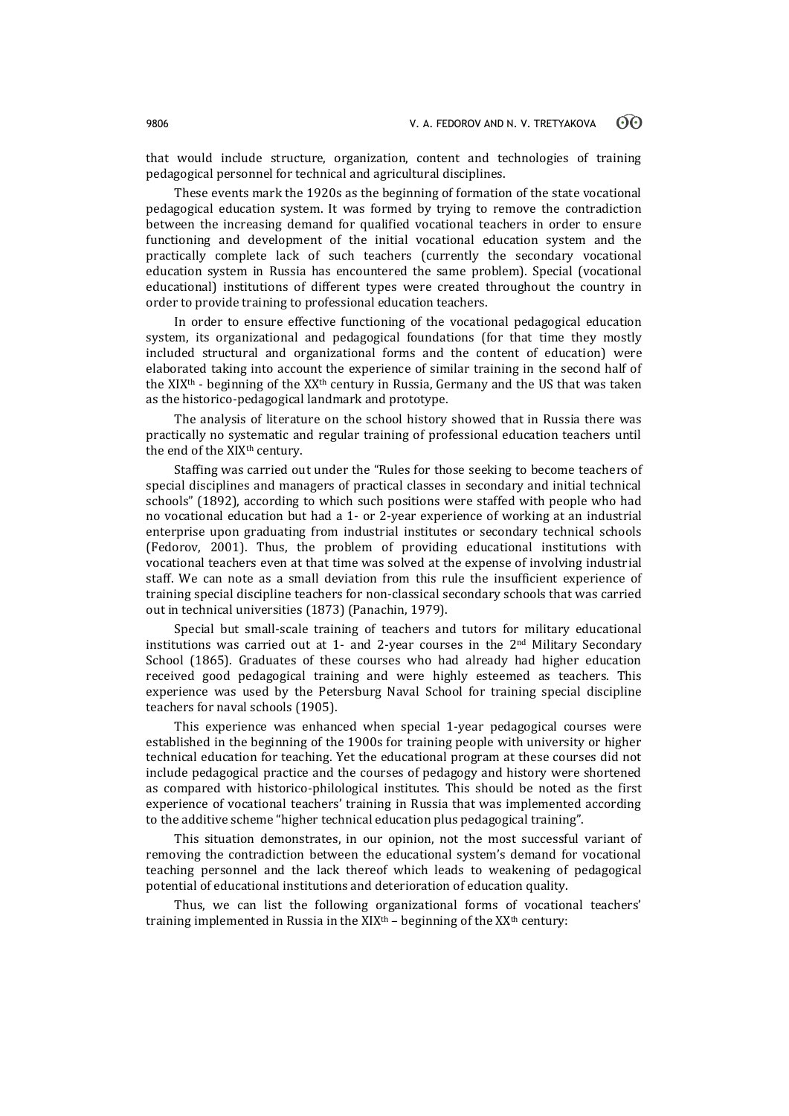that would include structure, organization, content and technologies of training pedagogical personnel for technical and agricultural disciplines.

These events mark the 1920s as the beginning of formation of the state vocational pedagogical education system. It was formed by trying to remove the contradiction between the increasing demand for qualified vocational teachers in order to ensure functioning and development of the initial vocational education system and the practically complete lack of such teachers (currently the secondary vocational education system in Russia has encountered the same problem). Special (vocational educational) institutions of different types were created throughout the country in order to provide training to professional education teachers.

In order to ensure effective functioning of the vocational pedagogical education system, its organizational and pedagogical foundations (for that time they mostly included structural and organizational forms and the content of education) were elaborated taking into account the experience of similar training in the second half of the XIX<sup>th</sup> - beginning of the XX<sup>th</sup> century in Russia, Germany and the US that was taken as the historico-pedagogical landmark and prototype.

The analysis of literature on the school history showed that in Russia there was practically no systematic and regular training of professional education teachers until the end of the XIX<sup>th</sup> century.

Staffing was carried out under the "Rules for those seeking to become teachers of special disciplines and managers of practical classes in secondary and initial technical schools" (1892), according to which such positions were staffed with people who had no vocational education but had a 1- or 2-year experience of working at an industrial enterprise upon graduating from industrial institutes or secondary technical schools (Fedorov, 2001). Thus, the problem of providing educational institutions with vocational teachers even at that time was solved at the expense of involving industrial staff. We can note as a small deviation from this rule the insufficient experience of training special discipline teachers for non-classical secondary schools that was carried out in technical universities (1873) (Panachin, 1979).

Special but small-scale training of teachers and tutors for military educational institutions was carried out at 1- and 2-year courses in the 2nd Military Secondary School (1865). Graduates of these courses who had already had higher education received good pedagogical training and were highly esteemed as teachers. This experience was used by the Petersburg Naval School for training special discipline teachers for naval schools (1905).

This experience was enhanced when special 1-year pedagogical courses were established in the beginning of the 1900s for training people with university or higher technical education for teaching. Yet the educational program at these courses did not include pedagogical practice and the courses of pedagogy and history were shortened as compared with historico-philological institutes. This should be noted as the first experience of vocational teachers' training in Russia that was implemented according to the additive scheme "higher technical education plus pedagogical training".

This situation demonstrates, in our opinion, not the most successful variant of removing the contradiction between the educational system's demand for vocational teaching personnel and the lack thereof which leads to weakening of pedagogical potential of educational institutions and deterioration of education quality.

Thus, we can list the following organizational forms of vocational teachers' training implemented in Russia in the  $XIX<sup>th</sup>$  – beginning of the  $XX<sup>th</sup>$  century: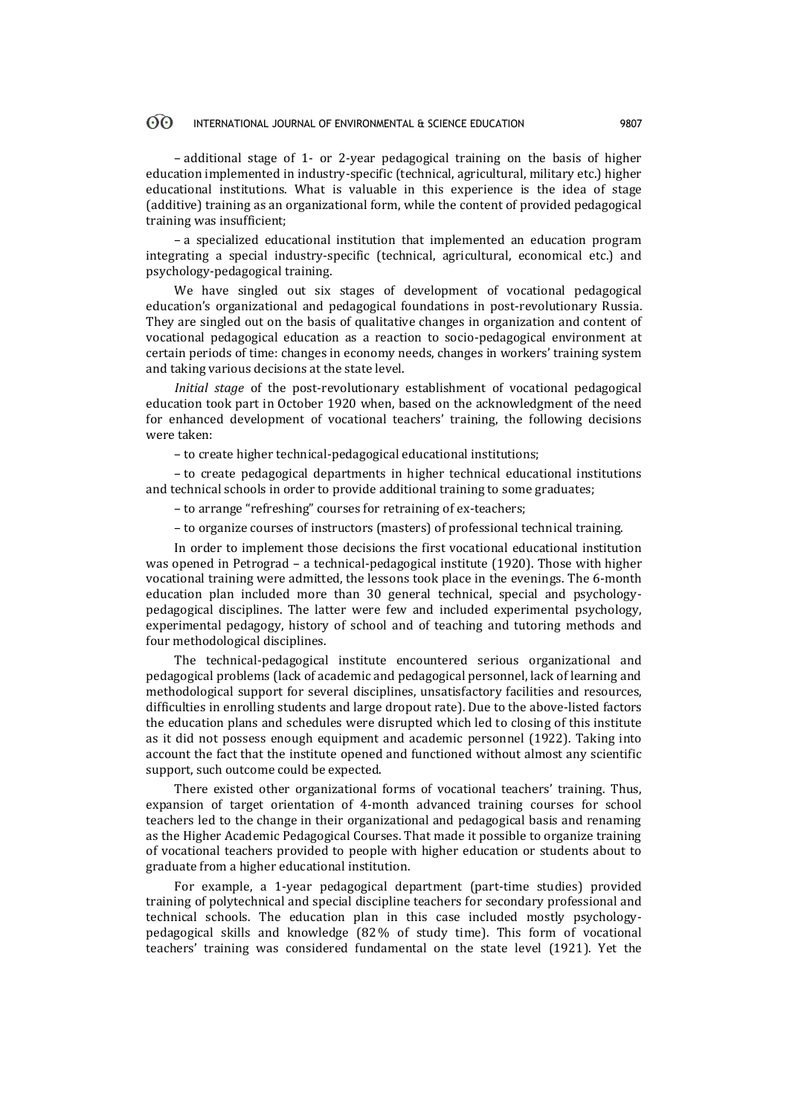– additional stage of 1- or 2-year pedagogical training on the basis of higher education implemented in industry-specific (technical, agricultural, military etc.) higher educational institutions. What is valuable in this experience is the idea of stage (additive) training as an organizational form, while the content of provided pedagogical training was insufficient;

– a specialized educational institution that implemented an education program integrating a special industry-specific (technical, agricultural, economical etc.) and psychology-pedagogical training.

We have singled out six stages of development of vocational pedagogical education's organizational and pedagogical foundations in post-revolutionary Russia. They are singled out on the basis of qualitative changes in organization and content of vocational pedagogical education as a reaction to socio-pedagogical environment at certain periods of time: changes in economy needs, changes in workers' training system and taking various decisions at the state level.

*Initial stage* of the post-revolutionary establishment of vocational pedagogical education took part in October 1920 when, based on the acknowledgment of the need for enhanced development of vocational teachers' training, the following decisions were taken:

– to create higher technical-pedagogical educational institutions;

– to create pedagogical departments in higher technical educational institutions and technical schools in order to provide additional training to some graduates;

– to arrange "refreshing" courses for retraining of ex-teachers;

– to organize courses of instructors (masters) of professional technical training.

In order to implement those decisions the first vocational educational institution was opened in Petrograd – a technical-pedagogical institute (1920). Those with higher vocational training were admitted, the lessons took place in the evenings. The 6-month education plan included more than 30 general technical, special and psychologypedagogical disciplines. The latter were few and included experimental psychology, experimental pedagogy, history of school and of teaching and tutoring methods and four methodological disciplines.

The technical-pedagogical institute encountered serious organizational and pedagogical problems (lack of academic and pedagogical personnel, lack of learning and methodological support for several disciplines, unsatisfactory facilities and resources, difficulties in enrolling students and large dropout rate). Due to the above-listed factors the education plans and schedules were disrupted which led to closing of this institute as it did not possess enough equipment and academic personnel (1922). Taking into account the fact that the institute opened and functioned without almost any scientific support, such outcome could be expected.

There existed other organizational forms of vocational teachers' training. Thus, expansion of target orientation of 4-month advanced training courses for school teachers led to the change in their organizational and pedagogical basis and renaming as the Higher Academic Pedagogical Courses. That made it possible to organize training of vocational teachers provided to people with higher education or students about to graduate from a higher educational institution.

For example, a 1-year pedagogical department (part-time studies) provided training of polytechnical and special discipline teachers for secondary professional and technical schools. The education plan in this case included mostly psychologypedagogical skills and knowledge (82% of study time). This form of vocational teachers' training was considered fundamental on the state level (1921). Yet the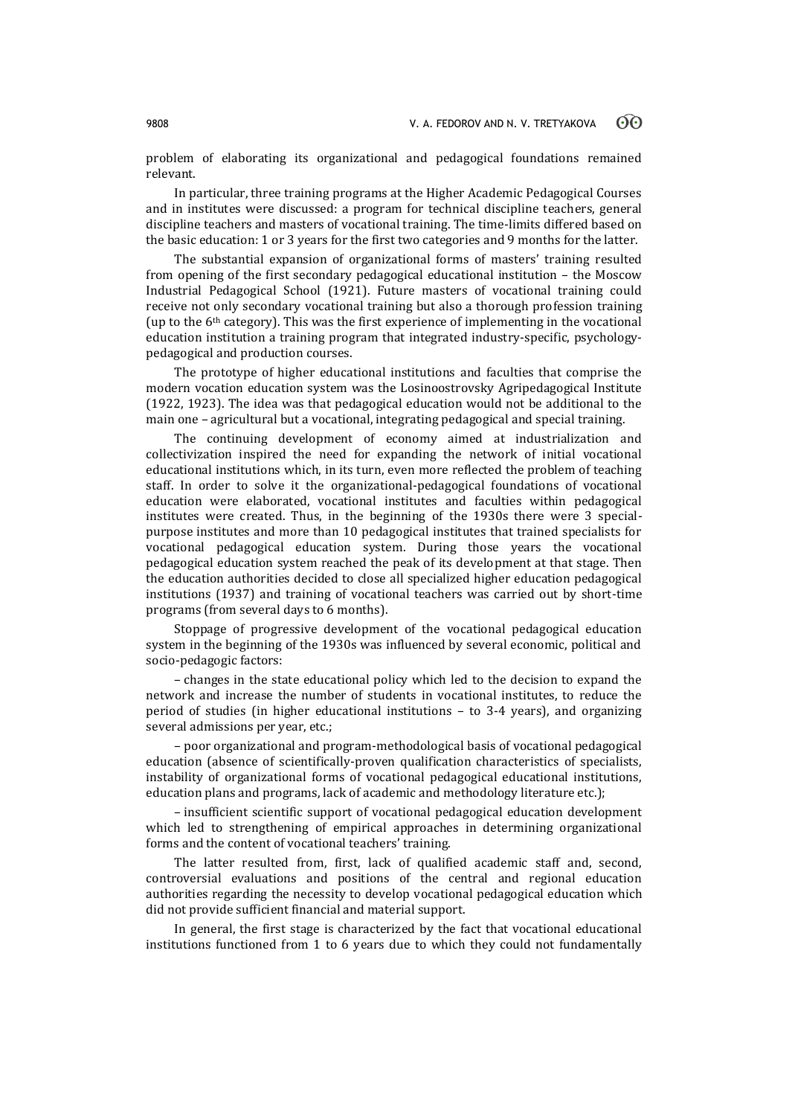problem of elaborating its organizational and pedagogical foundations remained relevant.

In particular, three training programs at the Higher Academic Pedagogical Courses and in institutes were discussed: a program for technical discipline teachers, general discipline teachers and masters of vocational training. The time-limits differed based on the basic education: 1 or 3 years for the first two categories and 9 months for the latter.

The substantial expansion of organizational forms of masters' training resulted from opening of the first secondary pedagogical educational institution – the Moscow Industrial Pedagogical School (1921). Future masters of vocational training could receive not only secondary vocational training but also a thorough profession training (up to the 6th category). This was the first experience of implementing in the vocational education institution a training program that integrated industry-specific, psychologypedagogical and production courses.

The prototype of higher educational institutions and faculties that comprise the modern vocation education system was the Losinoostrovsky Agripedagogical Institute (1922, 1923). The idea was that pedagogical education would not be additional to the main one – agricultural but a vocational, integrating pedagogical and special training.

The continuing development of economy aimed at industrialization and collectivization inspired the need for expanding the network of initial vocational educational institutions which, in its turn, even more reflected the problem of teaching staff. In order to solve it the organizational-pedagogical foundations of vocational education were elaborated, vocational institutes and faculties within pedagogical institutes were created. Thus, in the beginning of the 1930s there were 3 specialpurpose institutes and more than 10 pedagogical institutes that trained specialists for vocational pedagogical education system. During those years the vocational pedagogical education system reached the peak of its development at that stage. Then the education authorities decided to close all specialized higher education pedagogical institutions (1937) and training of vocational teachers was carried out by short-time programs (from several days to 6 months).

Stoppage of progressive development of the vocational pedagogical education system in the beginning of the 1930s was influenced by several economic, political and socio-pedagogic factors:

– changes in the state educational policy which led to the decision to expand the network and increase the number of students in vocational institutes, to reduce the period of studies (in higher educational institutions – to 3-4 years), and organizing several admissions per year, etc.;

– poor organizational and program-methodological basis of vocational pedagogical education (absence of scientifically-proven qualification characteristics of specialists, instability of organizational forms of vocational pedagogical educational institutions, education plans and programs, lack of academic and methodology literature etc.);

– insufficient scientific support of vocational pedagogical education development which led to strengthening of empirical approaches in determining organizational forms and the content of vocational teachers' training.

The latter resulted from, first, lack of qualified academic staff and, second, controversial evaluations and positions of the central and regional education authorities regarding the necessity to develop vocational pedagogical education which did not provide sufficient financial and material support.

In general, the first stage is characterized by the fact that vocational educational institutions functioned from 1 to 6 years due to which they could not fundamentally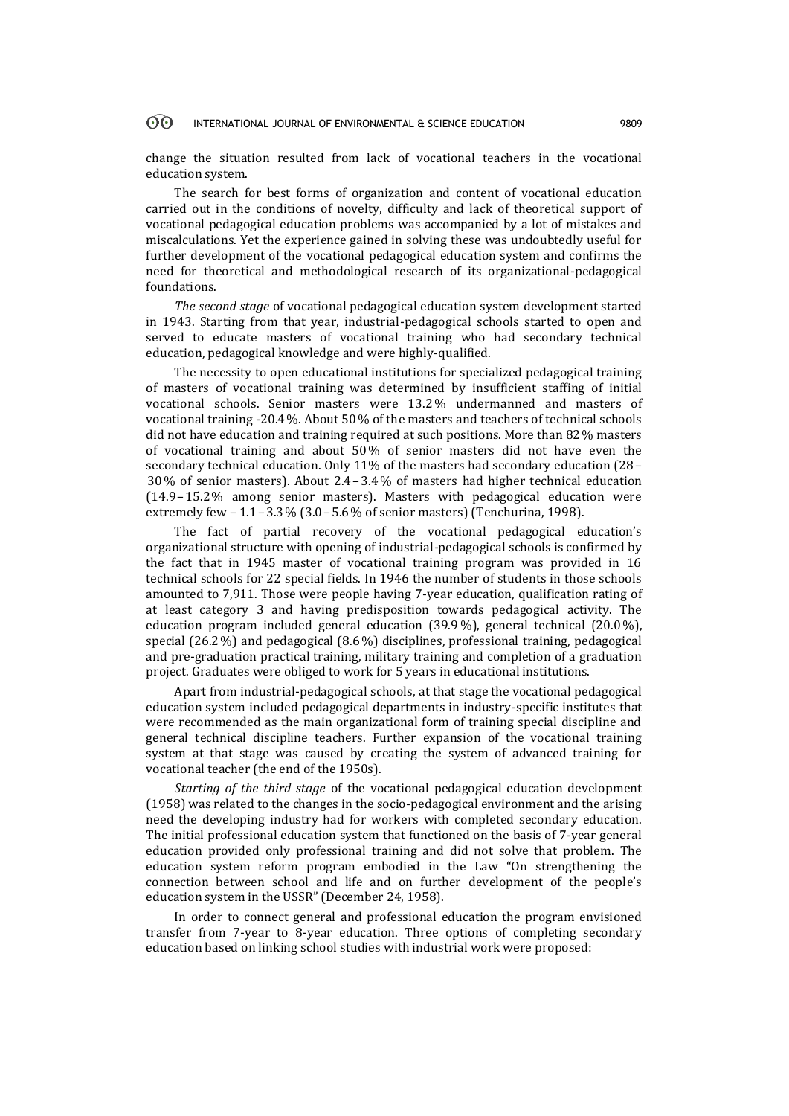change the situation resulted from lack of vocational teachers in the vocational education system.

The search for best forms of organization and content of vocational education carried out in the conditions of novelty, difficulty and lack of theoretical support of vocational pedagogical education problems was accompanied by a lot of mistakes and miscalculations. Yet the experience gained in solving these was undoubtedly useful for further development of the vocational pedagogical education system and confirms the need for theoretical and methodological research of its organizational-pedagogical foundations.

*The second stage* of vocational pedagogical education system development started in 1943. Starting from that year, industrial-pedagogical schools started to open and served to educate masters of vocational training who had secondary technical education, pedagogical knowledge and were highly-qualified.

The necessity to open educational institutions for specialized pedagogical training of masters of vocational training was determined by insufficient staffing of initial vocational schools. Senior masters were 13.2% undermanned and masters of vocational training -20.4%. About 50% of the masters and teachers of technical schools did not have education and training required at such positions. More than 82% masters of vocational training and about 50% of senior masters did not have even the secondary technical education. Only 11% of the masters had secondary education (28 – 30% of senior masters). About 2.4–3.4% of masters had higher technical education (14.9–15.2% among senior masters). Masters with pedagogical education were extremely few – 1.1–3.3% (3.0–5.6% of senior masters) (Tenchurina, 1998).

The fact of partial recovery of the vocational pedagogical education's organizational structure with opening of industrial-pedagogical schools is confirmed by the fact that in 1945 master of vocational training program was provided in 16 technical schools for 22 special fields. In 1946 the number of students in those schools amounted to 7,911. Those were people having 7-year education, qualification rating of at least category 3 and having predisposition towards pedagogical activity. The education program included general education (39.9%), general technical (20.0%), special (26.2%) and pedagogical (8.6%) disciplines, professional training, pedagogical and pre-graduation practical training, military training and completion of a graduation project. Graduates were obliged to work for 5 years in educational institutions.

Apart from industrial-pedagogical schools, at that stage the vocational pedagogical education system included pedagogical departments in industry-specific institutes that were recommended as the main organizational form of training special discipline and general technical discipline teachers. Further expansion of the vocational training system at that stage was caused by creating the system of advanced training for vocational teacher (the end of the 1950s).

*Starting of the third stage* of the vocational pedagogical education development (1958) was related to the changes in the socio-pedagogical environment and the arising need the developing industry had for workers with completed secondary education. The initial professional education system that functioned on the basis of 7-year general education provided only professional training and did not solve that problem. The education system reform program embodied in the Law "On strengthening the connection between school and life and on further development of the people's education system in the USSR" (December 24, 1958).

In order to connect general and professional education the program envisioned transfer from 7-year to 8-year education. Three options of completing secondary education based on linking school studies with industrial work were proposed: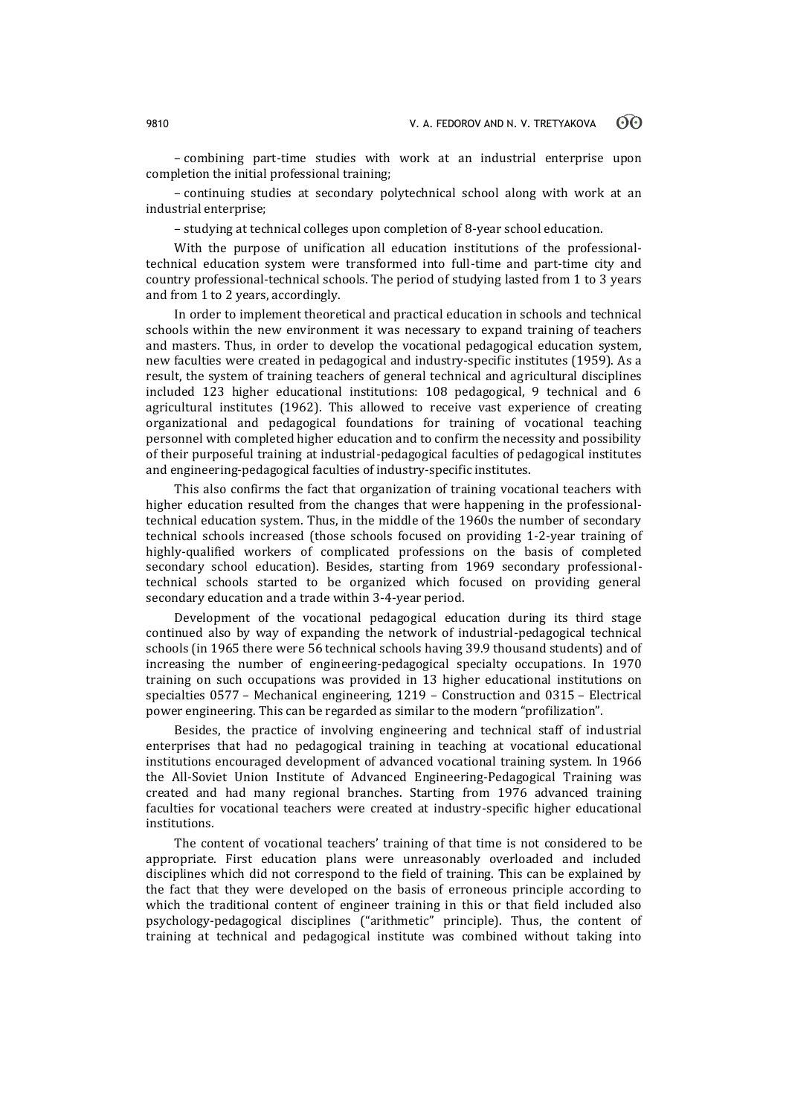– combining part-time studies with work at an industrial enterprise upon completion the initial professional training;

– continuing studies at secondary polytechnical school along with work at an industrial enterprise;

– studying at technical colleges upon completion of 8-year school education.

With the purpose of unification all education institutions of the professionaltechnical education system were transformed into full-time and part-time city and country professional-technical schools. The period of studying lasted from 1 to 3 years and from 1 to 2 years, accordingly.

In order to implement theoretical and practical education in schools and technical schools within the new environment it was necessary to expand training of teachers and masters. Thus, in order to develop the vocational pedagogical education system, new faculties were created in pedagogical and industry-specific institutes (1959). As a result, the system of training teachers of general technical and agricultural disciplines included 123 higher educational institutions: 108 pedagogical, 9 technical and 6 agricultural institutes (1962). This allowed to receive vast experience of creating organizational and pedagogical foundations for training of vocational teaching personnel with completed higher education and to confirm the necessity and possibility of their purposeful training at industrial-pedagogical faculties of pedagogical institutes and engineering-pedagogical faculties of industry-specific institutes.

This also confirms the fact that organization of training vocational teachers with higher education resulted from the changes that were happening in the professionaltechnical education system. Thus, in the middle of the 1960s the number of secondary technical schools increased (those schools focused on providing 1-2-year training of highly-qualified workers of complicated professions on the basis of completed secondary school education). Besides, starting from 1969 secondary professionaltechnical schools started to be organized which focused on providing general secondary education and a trade within 3-4-year period.

Development of the vocational pedagogical education during its third stage continued also by way of expanding the network of industrial-pedagogical technical schools (in 1965 there were 56 technical schools having 39.9 thousand students) and of increasing the number of engineering-pedagogical specialty occupations. In 1970 training on such occupations was provided in 13 higher educational institutions on specialties 0577 – Mechanical engineering, 1219 – Construction and 0315 – Electrical power engineering. This can be regarded as similar to the modern "profilization".

Besides, the practice of involving engineering and technical staff of industrial enterprises that had no pedagogical training in teaching at vocational educational institutions encouraged development of advanced vocational training system. In 1966 the All-Soviet Union Institute of Advanced Engineering-Pedagogical Training was created and had many regional branches. Starting from 1976 advanced training faculties for vocational teachers were created at industry-specific higher educational institutions.

The content of vocational teachers' training of that time is not considered to be appropriate. First education plans were unreasonably overloaded and included disciplines which did not correspond to the field of training. This can be explained by the fact that they were developed on the basis of erroneous principle according to which the traditional content of engineer training in this or that field included also psychology-pedagogical disciplines ("arithmetic" principle). Thus, the content of training at technical and pedagogical institute was combined without taking into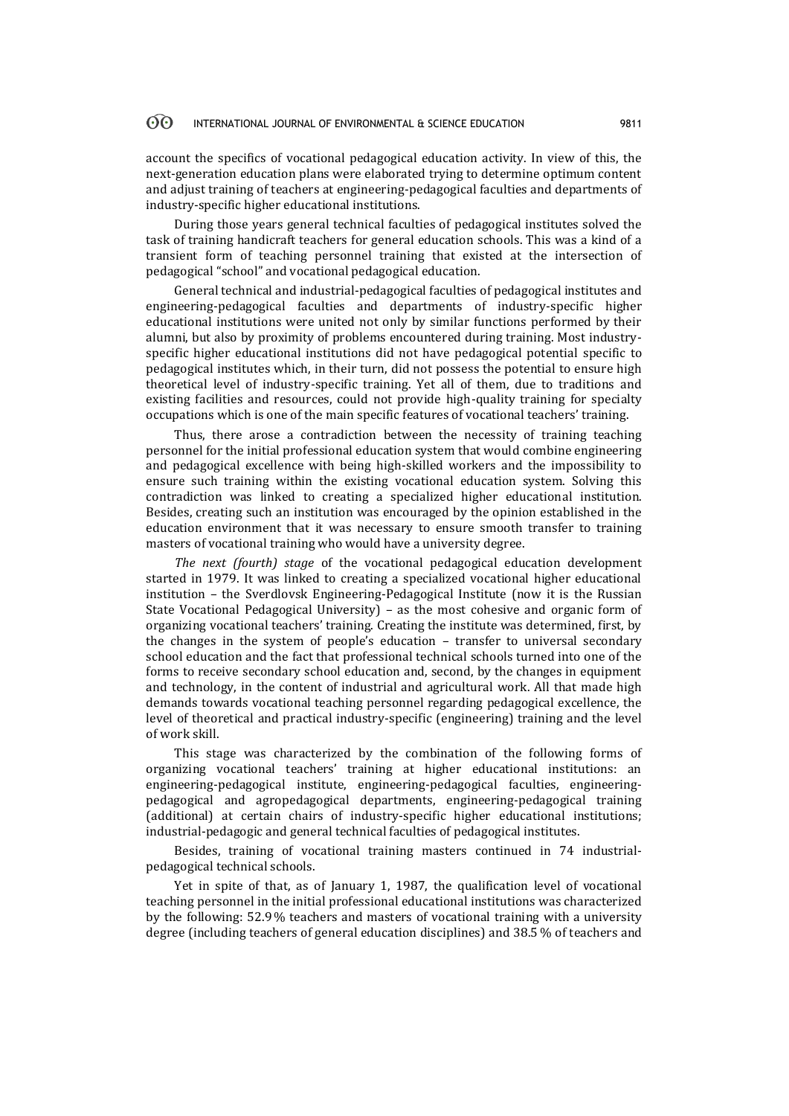account the specifics of vocational pedagogical education activity. In view of this, the next-generation education plans were elaborated trying to determine optimum content and adjust training of teachers at engineering-pedagogical faculties and departments of industry-specific higher educational institutions.

During those years general technical faculties of pedagogical institutes solved the task of training handicraft teachers for general education schools. This was a kind of a transient form of teaching personnel training that existed at the intersection of pedagogical "school" and vocational pedagogical education.

General technical and industrial-pedagogical faculties of pedagogical institutes and engineering-pedagogical faculties and departments of industry-specific higher educational institutions were united not only by similar functions performed by their alumni, but also by proximity of problems encountered during training. Most industryspecific higher educational institutions did not have pedagogical potential specific to pedagogical institutes which, in their turn, did not possess the potential to ensure high theoretical level of industry-specific training. Yet all of them, due to traditions and existing facilities and resources, could not provide high-quality training for specialty occupations which is one of the main specific features of vocational teachers' training.

Thus, there arose a contradiction between the necessity of training teaching personnel for the initial professional education system that would combine engineering and pedagogical excellence with being high-skilled workers and the impossibility to ensure such training within the existing vocational education system. Solving this contradiction was linked to creating a specialized higher educational institution. Besides, creating such an institution was encouraged by the opinion established in the education environment that it was necessary to ensure smooth transfer to training masters of vocational training who would have a university degree.

*The next (fourth) stage* of the vocational pedagogical education development started in 1979. It was linked to creating a specialized vocational higher educational institution – the Sverdlovsk Engineering-Pedagogical Institute (now it is the Russian State Vocational Pedagogical University) – as the most cohesive and organic form of organizing vocational teachers' training. Creating the institute was determined, first, by the changes in the system of people's education – transfer to universal secondary school education and the fact that professional technical schools turned into one of the forms to receive secondary school education and, second, by the changes in equipment and technology, in the content of industrial and agricultural work. All that made high demands towards vocational teaching personnel regarding pedagogical excellence, the level of theoretical and practical industry-specific (engineering) training and the level of work skill.

This stage was characterized by the combination of the following forms of organizing vocational teachers' training at higher educational institutions: an engineering-pedagogical institute, engineering-pedagogical faculties, engineeringpedagogical and agropedagogical departments, engineering-pedagogical training (additional) at certain chairs of industry-specific higher educational institutions; industrial-pedagogic and general technical faculties of pedagogical institutes.

Besides, training of vocational training masters continued in 74 industrialpedagogical technical schools.

Yet in spite of that, as of January 1, 1987, the qualification level of vocational teaching personnel in the initial professional educational institutions was characterized by the following: 52.9% teachers and masters of vocational training with a university degree (including teachers of general education disciplines) and 38.5 % of teachers and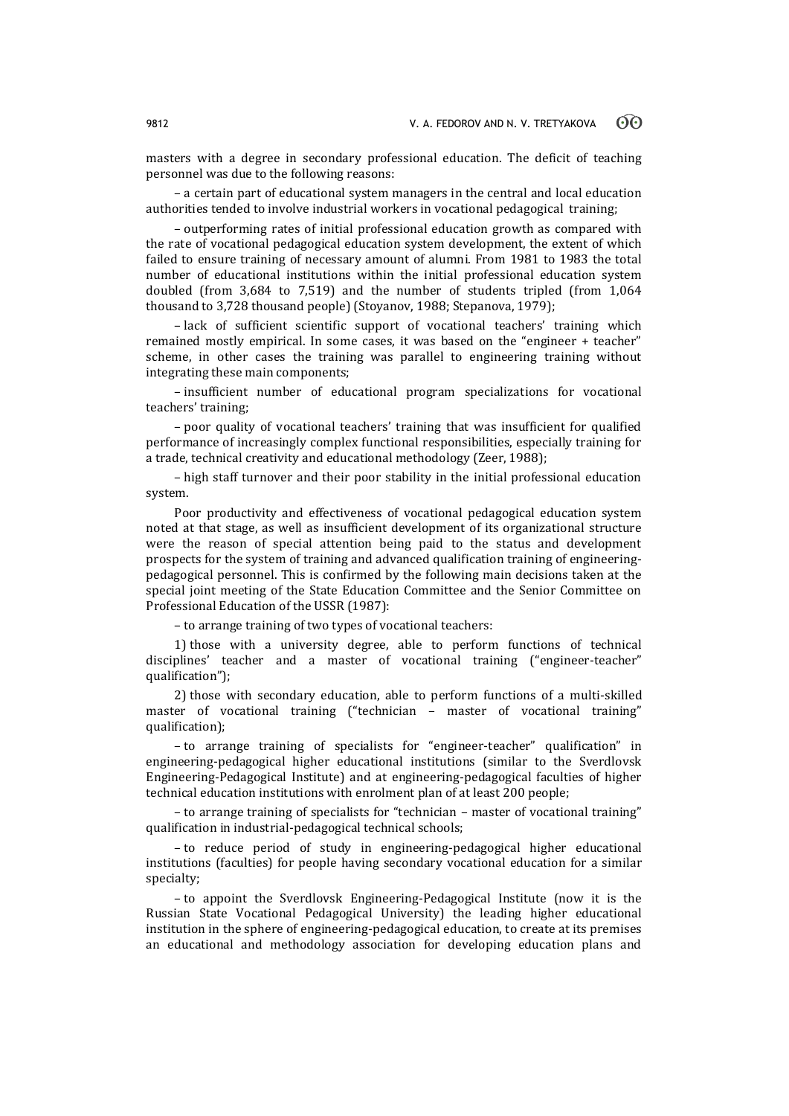masters with a degree in secondary professional education. The deficit of teaching personnel was due to the following reasons:

– a certain part of educational system managers in the central and local education authorities tended to involve industrial workers in vocational pedagogical training;

– outperforming rates of initial professional education growth as compared with the rate of vocational pedagogical education system development, the extent of which failed to ensure training of necessary amount of alumni. From 1981 to 1983 the total number of educational institutions within the initial professional education system doubled (from 3,684 to 7,519) and the number of students tripled (from 1,064 thousand to 3,728 thousand people) (Stoyanov, 1988; Stepanova, 1979);

– lack of sufficient scientific support of vocational teachers' training which remained mostly empirical. In some cases, it was based on the "engineer + teacher" scheme, in other cases the training was parallel to engineering training without integrating these main components;

– insufficient number of educational program specializations for vocational teachers' training;

– poor quality of vocational teachers' training that was insufficient for qualified performance of increasingly complex functional responsibilities, especially training for a trade, technical creativity and educational methodology (Zeer, 1988);

– high staff turnover and their poor stability in the initial professional education system.

Poor productivity and effectiveness of vocational pedagogical education system noted at that stage, as well as insufficient development of its organizational structure were the reason of special attention being paid to the status and development prospects for the system of training and advanced qualification training of engineeringpedagogical personnel. This is confirmed by the following main decisions taken at the special joint meeting of the State Education Committee and the Senior Committee on Professional Education of the USSR (1987):

– to arrange training of two types of vocational teachers:

1) those with a university degree, able to perform functions of technical disciplines' teacher and a master of vocational training ("engineer-teacher" qualification");

2) those with secondary education, able to perform functions of a multi-skilled master of vocational training ("technician – master of vocational training" qualification);

– to arrange training of specialists for "engineer-teacher" qualification" in engineering-pedagogical higher educational institutions (similar to the Sverdlovsk Engineering-Pedagogical Institute) and at engineering-pedagogical faculties of higher technical education institutions with enrolment plan of at least 200 people;

– to arrange training of specialists for "technician – master of vocational training" qualification in industrial-pedagogical technical schools;

– to reduce period of study in engineering-pedagogical higher educational institutions (faculties) for people having secondary vocational education for a similar specialty;

– to appoint the Sverdlovsk Engineering-Pedagogical Institute (now it is the Russian State Vocational Pedagogical University) the leading higher educational institution in the sphere of engineering-pedagogical education, to create at its premises an educational and methodology association for developing education plans and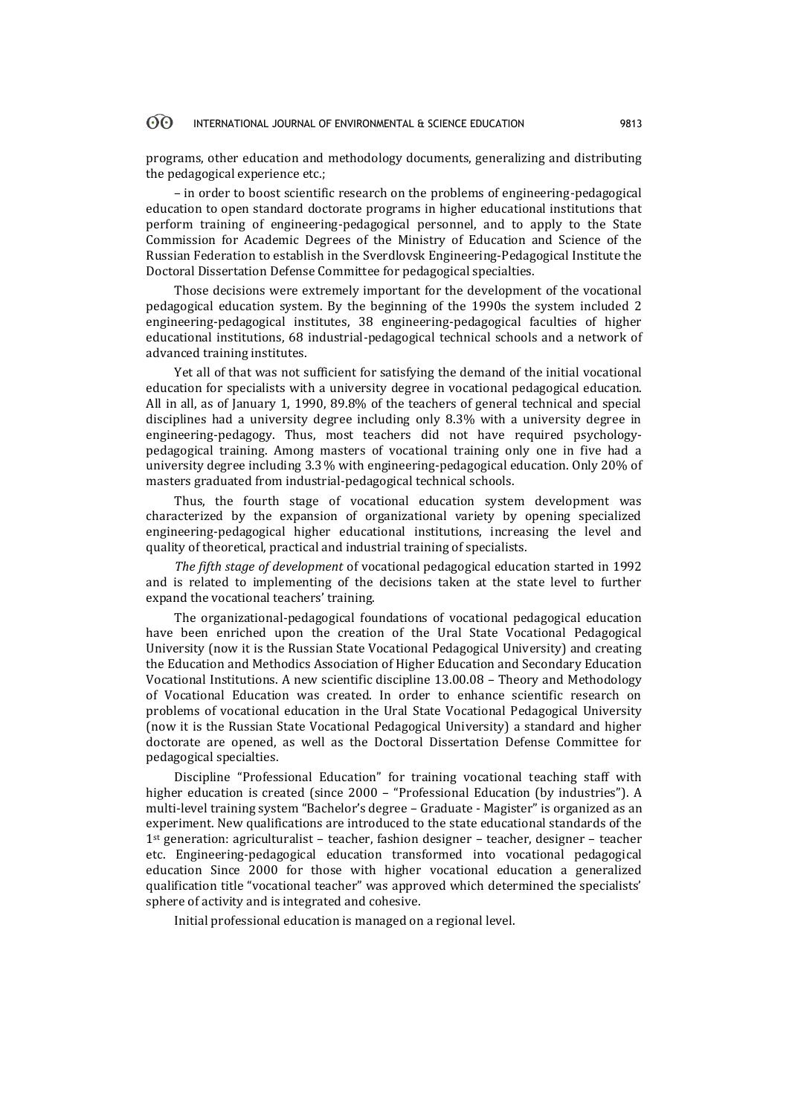programs, other education and methodology documents, generalizing and distributing the pedagogical experience etc.;

– in order to boost scientific research on the problems of engineering-pedagogical education to open standard doctorate programs in higher educational institutions that perform training of engineering-pedagogical personnel, and to apply to the State Commission for Academic Degrees of the Ministry of Education and Science of the Russian Federation to establish in the Sverdlovsk Engineering-Pedagogical Institute the Doctoral Dissertation Defense Committee for pedagogical specialties.

Those decisions were extremely important for the development of the vocational pedagogical education system. By the beginning of the 1990s the system included 2 engineering-pedagogical institutes, 38 engineering-pedagogical faculties of higher educational institutions, 68 industrial-pedagogical technical schools and a network of advanced training institutes.

Yet all of that was not sufficient for satisfying the demand of the initial vocational education for specialists with a university degree in vocational pedagogical education. All in all, as of January 1, 1990, 89.8% of the teachers of general technical and special disciplines had a university degree including only 8.3% with a university degree in engineering-pedagogy. Thus, most teachers did not have required psychologypedagogical training. Among masters of vocational training only one in five had a university degree including 3.3% with engineering-pedagogical education. Only 20% of masters graduated from industrial-pedagogical technical schools.

Thus, the fourth stage of vocational education system development was characterized by the expansion of organizational variety by opening specialized engineering-pedagogical higher educational institutions, increasing the level and quality of theoretical, practical and industrial training of specialists.

*The fifth stage of development* of vocational pedagogical education started in 1992 and is related to implementing of the decisions taken at the state level to further expand the vocational teachers' training.

The organizational-pedagogical foundations of vocational pedagogical education have been enriched upon the creation of the Ural State Vocational Pedagogical University (now it is the Russian State Vocational Pedagogical University) and creating the Education and Methodics Association of Higher Education and Secondary Education Vocational Institutions. A new scientific discipline 13.00.08 – Theory and Methodology of Vocational Education was created. In order to enhance scientific research on problems of vocational education in the Ural State Vocational Pedagogical University (now it is the Russian State Vocational Pedagogical University) a standard and higher doctorate are opened, as well as the Doctoral Dissertation Defense Committee for pedagogical specialties.

Discipline "Professional Education" for training vocational teaching staff with higher education is created (since 2000 – "Professional Education (by industries"). A multi-level training system "Bachelor's degree – Graduate - Magister" is organized as an experiment. New qualifications are introduced to the state educational standards of the 1st generation: agriculturalist – teacher, fashion designer – teacher, designer – teacher etc. Engineering-pedagogical education transformed into vocational pedagogical education Since 2000 for those with higher vocational education a generalized qualification title "vocational teacher" was approved which determined the specialists' sphere of activity and is integrated and cohesive.

Initial professional education is managed on a regional level.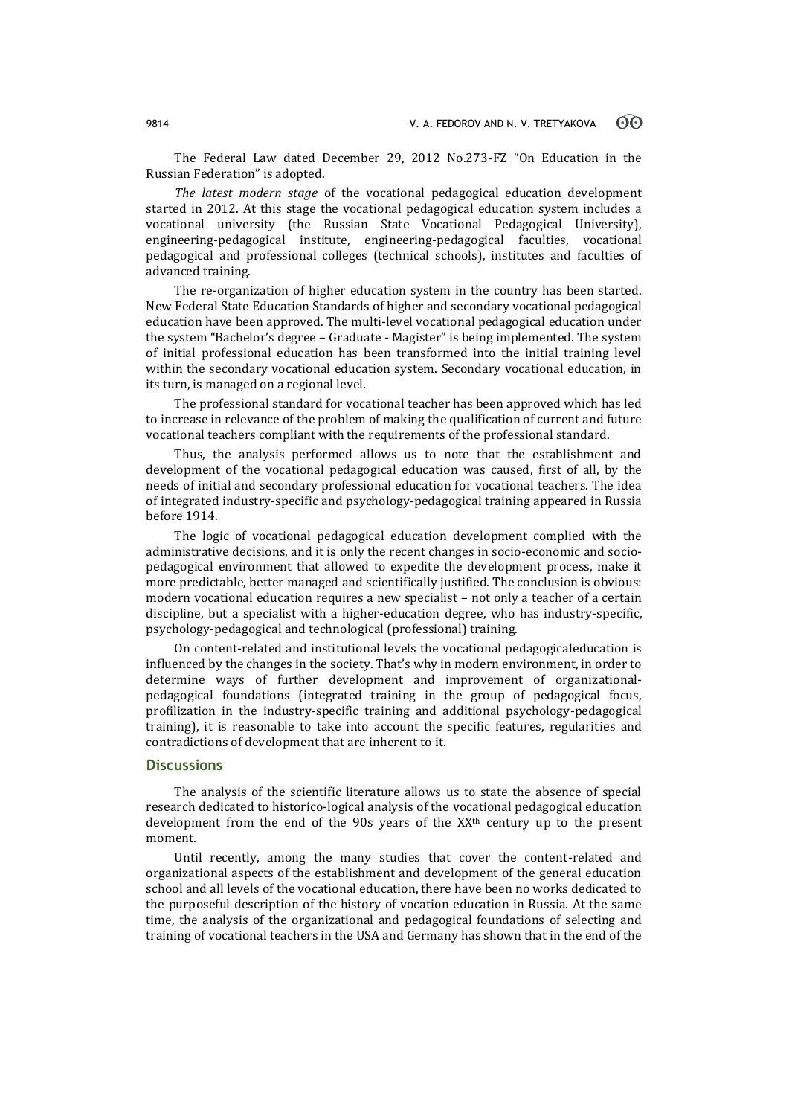The Federal Law dated December 29, 2012 No.273-FZ "On Education in the Russian Federation" is adopted.

*The latest modern stage* of the vocational pedagogical education development started in 2012. At this stage the vocational pedagogical education system includes a vocational university (the Russian State Vocational Pedagogical University), engineering-pedagogical institute, engineering-pedagogical faculties, vocational pedagogical and professional colleges (technical schools), institutes and faculties of advanced training.

The re-organization of higher education system in the country has been started. New Federal State Education Standards of higher and secondary vocational pedagogical education have been approved. The multi-level vocational pedagogical education under the system "Bachelor's degree – Graduate - Magister" is being implemented. The system of initial professional education has been transformed into the initial training level within the secondary vocational education system. Secondary vocational education, in its turn, is managed on a regional level.

The professional standard for vocational teacher has been approved which has led to increase in relevance of the problem of making the qualification of current and future vocational teachers compliant with the requirements of the professional standard.

Thus, the analysis performed allows us to note that the establishment and development of the vocational pedagogical education was caused, first of all, by the needs of initial and secondary professional education for vocational teachers. The idea of integrated industry-specific and psychology-pedagogical training appeared in Russia before 1914.

The logic of vocational pedagogical education development complied with the administrative decisions, and it is only the recent changes in socio-economic and sociopedagogical environment that allowed to expedite the development process, make it more predictable, better managed and scientifically justified. The conclusion is obvious: modern vocational education requires a new specialist – not only a teacher of a certain discipline, but a specialist with a higher-education degree, who has industry-specific, psychology-pedagogical and technological (professional) training.

On content-related and institutional levels the vocational pedagogicaleducation is influenced by the changes in the society. That's why in modern environment, in order to determine ways of further development and improvement of organizationalpedagogical foundations (integrated training in the group of pedagogical focus, profilization in the industry-specific training and additional psychology-pedagogical training), it is reasonable to take into account the specific features, regularities and contradictions of development that are inherent to it.

## **Discussions**

The analysis of the scientific literature allows us to state the absence of special research dedicated to historico-logical analysis of the vocational pedagogical education development from the end of the 90s years of the XX<sup>th</sup> century up to the present moment.

Until recently, among the many studies that cover the content-related and organizational aspects of the establishment and development of the general education school and all levels of the vocational education, there have been no works dedicated to the purposeful description of the history of vocation education in Russia. At the same time, the analysis of the organizational and pedagogical foundations of selecting and training of vocational teachers in the USA and Germany has shown that in the end of the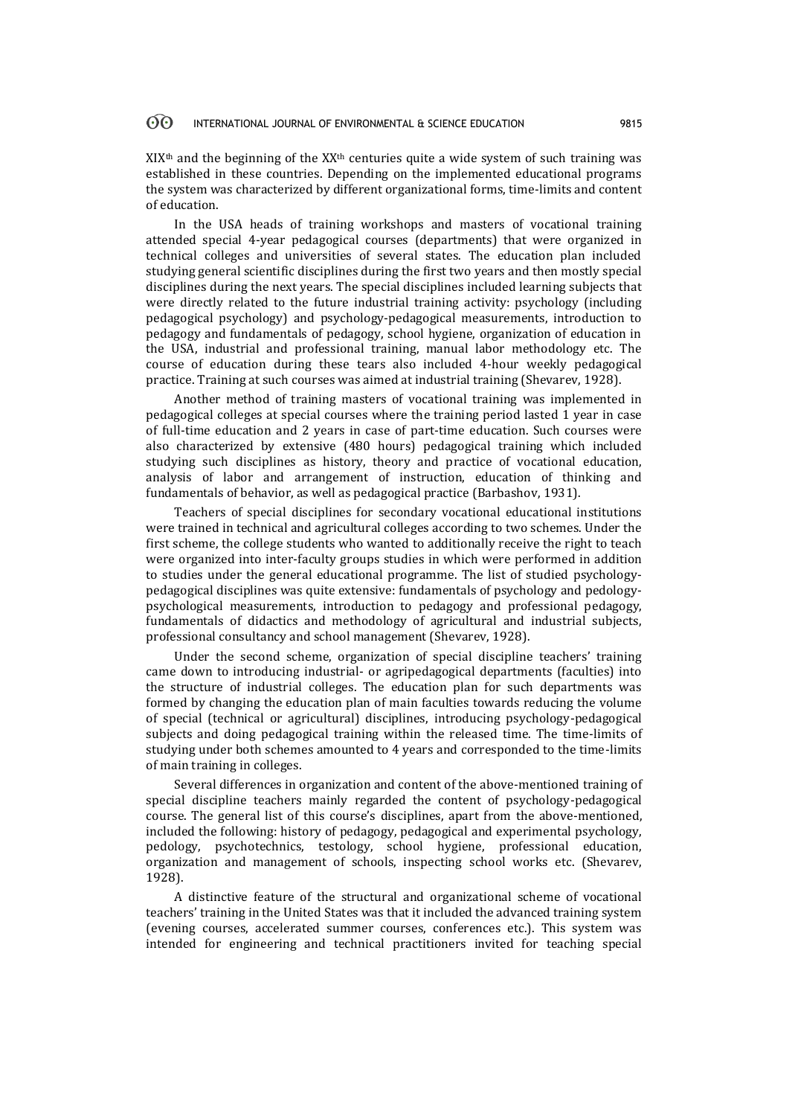$XIX<sup>th</sup>$  and the beginning of the  $XX<sup>th</sup>$  centuries quite a wide system of such training was established in these countries. Depending on the implemented educational programs the system was characterized by different organizational forms, time-limits and content of education.

In the USA heads of training workshops and masters of vocational training attended special 4-year pedagogical courses (departments) that were organized in technical colleges and universities of several states. The education plan included studying general scientific disciplines during the first two years and then mostly special disciplines during the next years. The special disciplines included learning subjects that were directly related to the future industrial training activity: psychology (including pedagogical psychology) and psychology-pedagogical measurements, introduction to pedagogy and fundamentals of pedagogy, school hygiene, organization of education in the USA, industrial and professional training, manual labor methodology etc. The course of education during these tears also included 4-hour weekly pedagogical practice. Training at such courses was aimed at industrial training (Shevarev, 1928).

Another method of training masters of vocational training was implemented in pedagogical colleges at special courses where the training period lasted 1 year in case of full-time education and 2 years in case of part-time education. Such courses were also characterized by extensive (480 hours) pedagogical training which included studying such disciplines as history, theory and practice of vocational education, analysis of labor and arrangement of instruction, education of thinking and fundamentals of behavior, as well as pedagogical practice (Barbashov, 1931).

Teachers of special disciplines for secondary vocational educational institutions were trained in technical and agricultural colleges according to two schemes. Under the first scheme, the college students who wanted to additionally receive the right to teach were organized into inter-faculty groups studies in which were performed in addition to studies under the general educational programme. The list of studied psychologypedagogical disciplines was quite extensive: fundamentals of psychology and pedologypsychological measurements, introduction to pedagogy and professional pedagogy, fundamentals of didactics and methodology of agricultural and industrial subjects, professional consultancy and school management (Shevarev, 1928).

Under the second scheme, organization of special discipline teachers' training came down to introducing industrial- or agripedagogical departments (faculties) into the structure of industrial colleges. The education plan for such departments was formed by changing the education plan of main faculties towards reducing the volume of special (technical or agricultural) disciplines, introducing psychology-pedagogical subjects and doing pedagogical training within the released time. The time-limits of studying under both schemes amounted to 4 years and corresponded to the time-limits of main training in colleges.

Several differences in organization and content of the above-mentioned training of special discipline teachers mainly regarded the content of psychology-pedagogical course. The general list of this course's disciplines, apart from the above-mentioned, included the following: history of pedagogy, pedagogical and experimental psychology, pedology, psychotechnics, testology, school hygiene, professional education, organization and management of schools, inspecting school works etc. (Shevarev, 1928).

A distinctive feature of the structural and organizational scheme of vocational teachers' training in the United States was that it included the advanced training system (evening courses, accelerated summer courses, conferences etc.). This system was intended for engineering and technical practitioners invited for teaching special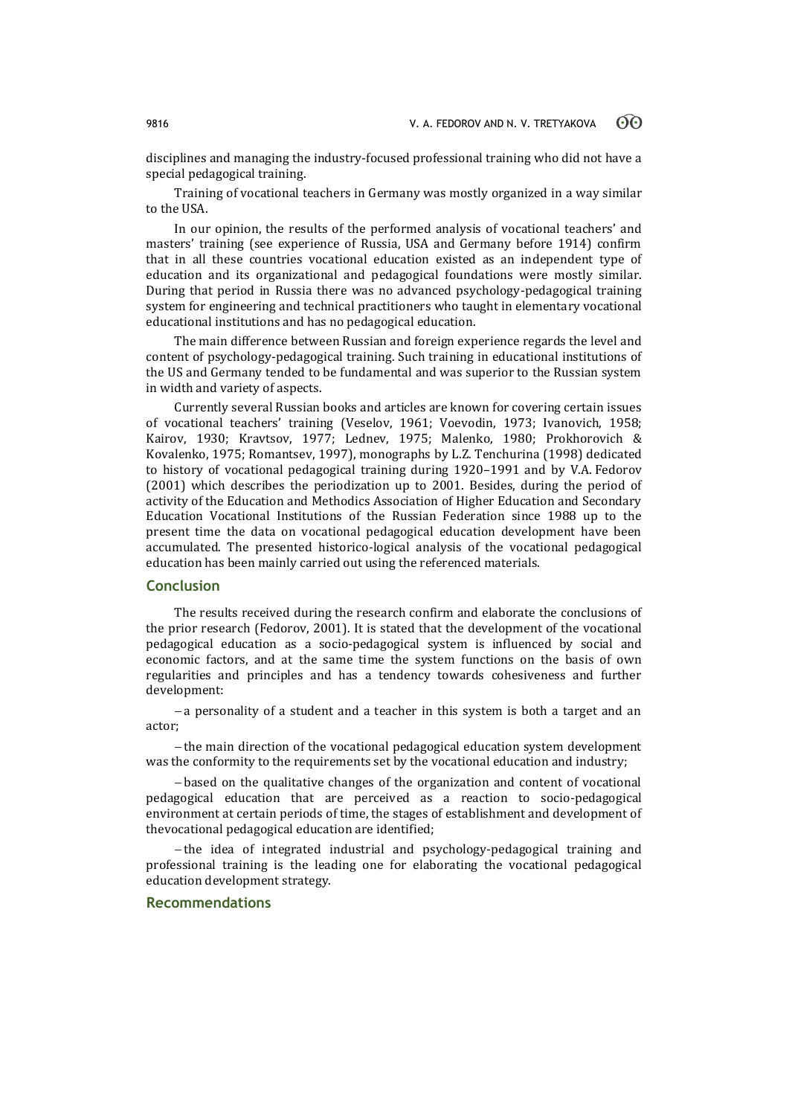disciplines and managing the industry-focused professional training who did not have a special pedagogical training.

Training of vocational teachers in Germany was mostly organized in a way similar to the USA.

In our opinion, the results of the performed analysis of vocational teachers' and masters' training (see experience of Russia, USA and Germany before 1914) confirm that in all these countries vocational education existed as an independent type of education and its organizational and pedagogical foundations were mostly similar. During that period in Russia there was no advanced psychology-pedagogical training system for engineering and technical practitioners who taught in elementary vocational educational institutions and has no pedagogical education.

The main difference between Russian and foreign experience regards the level and content of psychology-pedagogical training. Such training in educational institutions of the US and Germany tended to be fundamental and was superior to the Russian system in width and variety of aspects.

Currently several Russian books and articles are known for covering certain issues of vocational teachers' training (Veselov, 1961; Voevodin, 1973; Ivanovich, 1958; Kairov, 1930; Kravtsov, 1977; Lednev, 1975; Malenko, 1980; Prokhorovich & Kovalenko, 1975; Romantsev, 1997), monographs by L.Z. Tenchurina (1998) dedicated to history of vocational pedagogical training during 1920–1991 and by V.A. Fedorov (2001) which describes the periodization up to 2001. Besides, during the period of activity of the Education and Methodics Association of Higher Education and Secondary Education Vocational Institutions of the Russian Federation since 1988 up to the present time the data on vocational pedagogical education development have been accumulated. The presented historico-logical analysis of the vocational pedagogical education has been mainly carried out using the referenced materials.

### **Conclusion**

The results received during the research confirm and elaborate the conclusions of the prior research (Fedorov, 2001). It is stated that the development of the vocational pedagogical education as a socio-pedagogical system is influenced by social and economic factors, and at the same time the system functions on the basis of own regularities and principles and has a tendency towards cohesiveness and further development:

 a personality of a student and a teacher in this system is both a target and an actor;

- the main direction of the vocational pedagogical education system development was the conformity to the requirements set by the vocational education and industry;

 based on the qualitative changes of the organization and content of vocational pedagogical education that are perceived as a reaction to socio-pedagogical environment at certain periods of time, the stages of establishment and development of thevocational pedagogical education are identified;

-the idea of integrated industrial and psychology-pedagogical training and professional training is the leading one for elaborating the vocational pedagogical education development strategy.

### **Recommendations**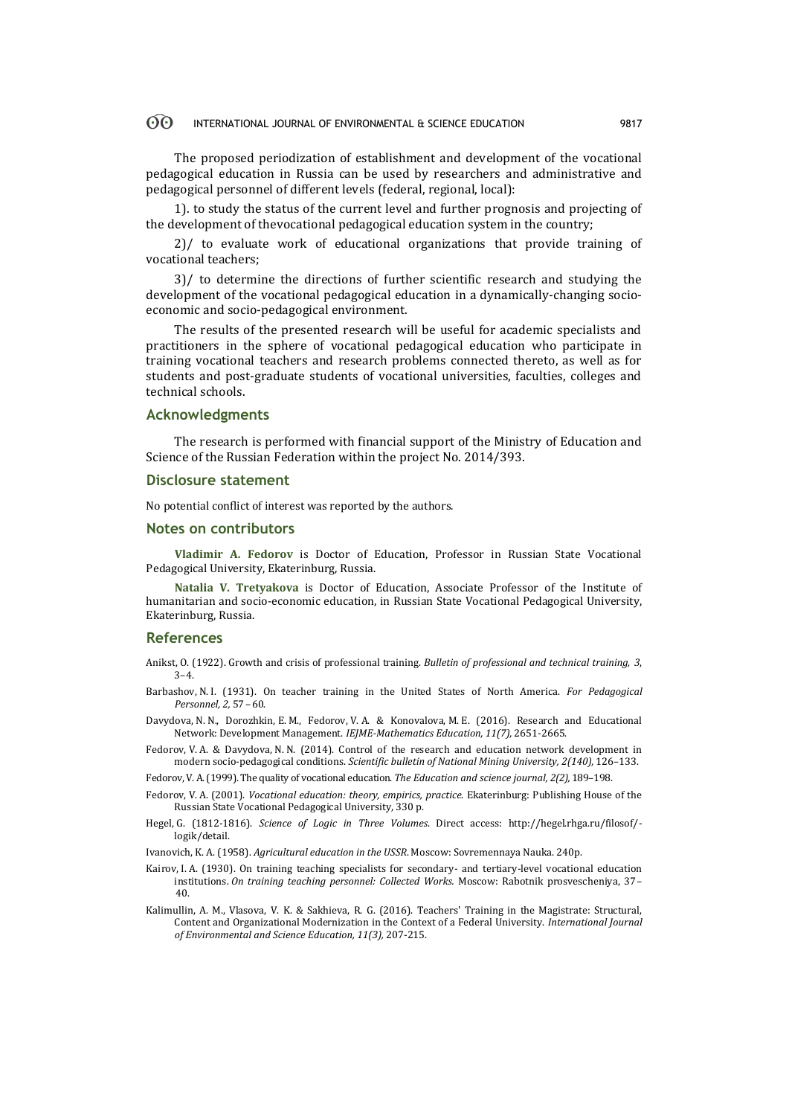The proposed periodization of establishment and development of the vocational pedagogical education in Russia can be used by researchers and administrative and pedagogical personnel of different levels (federal, regional, local):

1). to study the status of the current level and further prognosis and projecting of the development of thevocational pedagogical education system in the country;

2)/ to evaluate work of educational organizations that provide training of vocational teachers;

3)/ to determine the directions of further scientific research and studying the development of the vocational pedagogical education in a dynamically-changing socioeconomic and socio-pedagogical environment.

The results of the presented research will be useful for academic specialists and practitioners in the sphere of vocational pedagogical education who participate in training vocational teachers and research problems connected thereto, as well as for students and post-graduate students of vocational universities, faculties, colleges and technical schools.

### **Acknowledgments**

The research is performed with financial support of the Ministry of Education and Science of the Russian Federation within the project No. 2014/393.

### **Disclosure statement**

No potential conflict of interest was reported by the authors.

### **Notes on contributors**

**Vladimir A. Fedorov** is Doctor of Education, Professor in Russian State Vocational Pedagogical University, Ekaterinburg, Russia.

**Natalia V. Tretyakova** is Doctor of Education, Associate Professor of the Institute of humanitarian and socio-economic education, in Russian State Vocational Pedagogical University, Ekaterinburg, Russia.

### **References**

Anikst, O. (1922). Growth and crisis of professional training. *Bulletin of professional and technical training, 3*, 3–4.

- Barbashov, N. I. (1931). On teacher training in the United States of North America. *For Pedagogical Personnel, 2,* 57–60.
- Davydova, N. N., Dorozhkin, E. M., Fedorov, V. A. & Konovalova, M. E. (2016). Research and Educational Network: Development Management. *IEJME-Mathematics Education, 11(7),* 2651-2665.
- Fedorov, V. A. & Davydova, N. N. (2014). Control of the research and education network development in modern socio-pedagogical conditions. *Scientific bulletin of National Mining University, 2(140),* 126–133.
- Fedorov, V. A. (1999). The quality of vocational education. *The Education and science journal, 2(2),* 189–198.
- Fedorov, V. A. (2001). *Vocational education: theory, empirics, practice*. Ekaterinburg: Publishing House of the Russian State Vocational Pedagogical University, 330 p.
- Hegel, G. (1812-1816). *Science of Logic in Three Volumes*. Direct access: http://hegel.rhga.ru/filosof/ logik/detail.
- Ivanovich, K. A. (1958). *Agricultural education in the USSR*. Moscow: Sovremennaya Nauka. 240p.
- Kairov, I. A. (1930). On training teaching specialists for secondary- and tertiary-level vocational education institutions. *On training teaching personnel: Collected Works.* Moscow: Rabotnik prosvescheniya, 37– 40.
- Kalimullin, A. M., Vlasova, V. K. & Sakhieva, R. G. (2016). Teachers' Training in the Magistrate: Structural, Content and Organizational Modernization in the Context of a Federal University. *International Journal of Environmental and Science Education, 11(3),* 207-215.